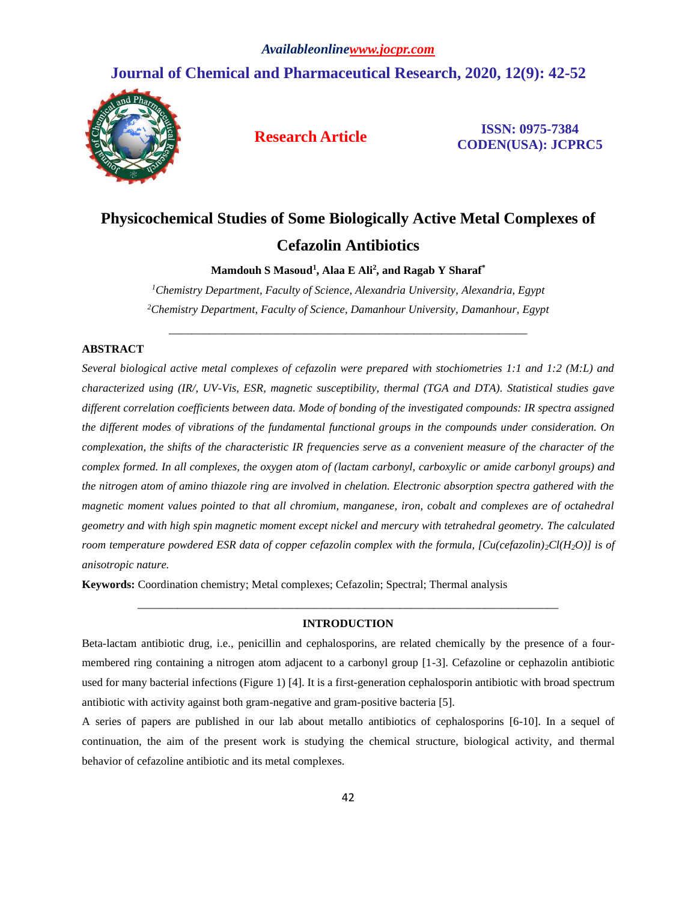# **Journal of Chemical and Pharmaceutical Research, 2020, 12(9): 42-52**



**Research Article ISSN: 0975-7384 CODEN(USA): JCPRC5**

# **Physicochemical Studies of Some Biologically Active Metal Complexes of Cefazolin Antibiotics**

**Mamdouh S Masoud<sup>1</sup> , Alaa E Ali<sup>2</sup> , and Ragab Y Sharaf\***

*<sup>1</sup>Chemistry Department, Faculty of Science, Alexandria University, Alexandria, Egypt <sup>2</sup>Chemistry Department, Faculty of Science, Damanhour University, Damanhour, Egypt*

\_\_\_\_\_\_\_\_\_\_\_\_\_\_\_\_\_\_\_\_\_\_\_\_\_\_\_\_\_\_\_\_\_\_\_\_\_\_\_\_\_\_\_\_\_\_\_\_\_\_\_\_\_\_\_\_\_\_\_\_\_\_\_

## **ABSTRACT**

*Several biological active metal complexes of cefazolin were prepared with stochiometries 1:1 and 1:2 (M:L) and characterized using (IR/, UV-Vis, ESR, magnetic susceptibility, thermal (TGA and DTA). Statistical studies gave different correlation coefficients between data. Mode of bonding of the investigated compounds: IR spectra assigned the different modes of vibrations of the fundamental functional groups in the compounds under consideration. On complexation, the shifts of the characteristic IR frequencies serve as a convenient measure of the character of the complex formed. In all complexes, the oxygen atom of (lactam carbonyl, carboxylic or amide carbonyl groups) and the nitrogen atom of amino thiazole ring are involved in chelation. Electronic absorption spectra gathered with the magnetic moment values pointed to that all chromium, manganese, iron, cobalt and complexes are of octahedral geometry and with high spin magnetic moment except nickel and mercury with tetrahedral geometry. The calculated room temperature powdered ESR data of copper cefazolin complex with the formula, [Cu(cefazolin)2Cl(H2O)] is of anisotropic nature.*

**Keywords:** Coordination chemistry; Metal complexes; Cefazolin; Spectral; Thermal analysis

# *\_\_\_\_\_\_\_\_\_\_\_\_\_\_\_\_\_\_\_\_\_\_\_\_\_\_\_\_\_\_\_\_\_\_\_\_\_\_\_\_\_\_\_\_\_\_\_\_\_\_\_\_\_\_\_\_\_\_\_\_\_\_\_\_\_\_\_\_\_\_\_\_\_\_* **INTRODUCTION**

Beta-lactam antibiotic drug, i.e., penicillin and cephalosporins, are related chemically by the presence of a fourmembered ring containing a nitrogen atom adjacent to a carbonyl group [1-3]. Cefazoline or cephazolin antibiotic used for many bacterial infections (Figure 1) [4]. It is a first-generation cephalosporin antibiotic with broad spectrum antibiotic with activity against both gram-negative and gram-positive bacteria [5].

A series of papers are published in our lab about metallo antibiotics of cephalosporins [6-10]. In a sequel of continuation, the aim of the present work is studying the chemical structure, biological activity, and thermal behavior of cefazoline antibiotic and its metal complexes.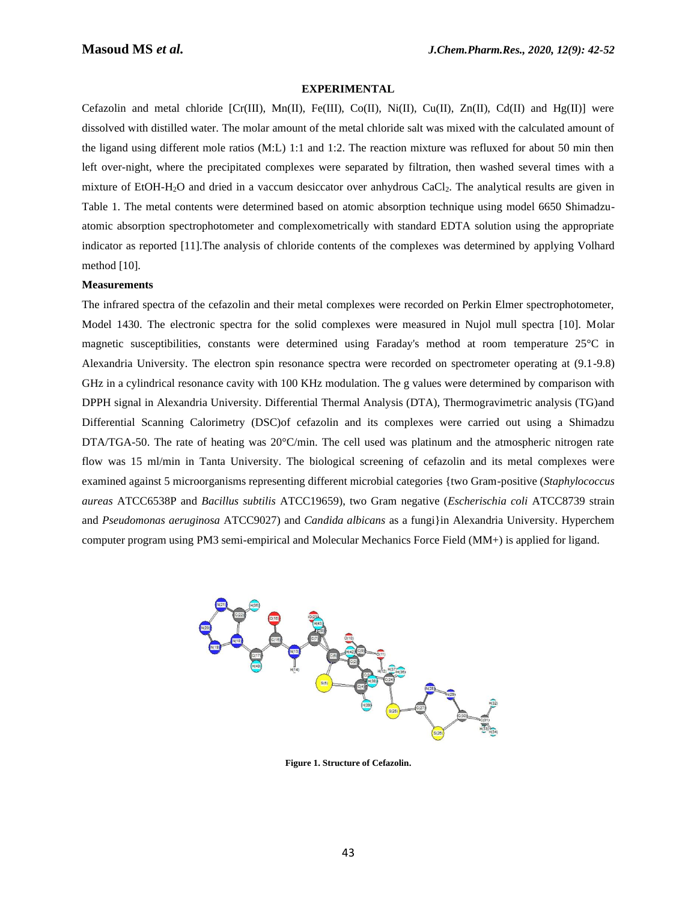### **EXPERIMENTAL**

Cefazolin and metal chloride [Cr(III), Mn(II), Fe(III), Co(II), Ni(II), Cu(II), Zn(II), Cd(II) and Hg(II)] were dissolved with distilled water. The molar amount of the metal chloride salt was mixed with the calculated amount of the ligand using different mole ratios (M:L) 1:1 and 1:2. The reaction mixture was refluxed for about 50 min then left over-night, where the precipitated complexes were separated by filtration, then washed several times with a mixture of EtOH-H2O and dried in a vaccum desiccator over anhydrous CaCl2. The analytical results are given in Table 1. The metal contents were determined based on atomic absorption technique using model 6650 Shimadzuatomic absorption spectrophotometer and complexometrically with standard EDTA solution using the appropriate indicator as reported [11].The analysis of chloride contents of the complexes was determined by applying Volhard method [10].

### **Measurements**

The infrared spectra of the cefazolin and their metal complexes were recorded on Perkin Elmer spectrophotometer, Model 1430. The electronic spectra for the solid complexes were measured in Nujol mull spectra [10]. Molar magnetic susceptibilities, constants were determined using Faraday's method at room temperature 25°C in Alexandria University. The electron spin resonance spectra were recorded on spectrometer operating at (9.1-9.8) GHz in a cylindrical resonance cavity with 100 KHz modulation. The g values were determined by comparison with DPPH signal in Alexandria University. Differential Thermal Analysis (DTA), Thermogravimetric analysis (TG)and Differential Scanning Calorimetry (DSC)of cefazolin and its complexes were carried out using a Shimadzu DTA/TGA-50. The rate of heating was 20°C/min. The cell used was platinum and the atmospheric nitrogen rate flow was 15 ml/min in Tanta University. The biological screening of cefazolin and its metal complexes were examined against 5 microorganisms representing different microbial categories {two Gram-positive (*Staphylococcus aureas* ATCC6538P and *Bacillus subtilis* ATCC19659), two Gram negative (*Escherischia coli* ATCC8739 strain and *Pseudomonas aeruginosa* ATCC9027) and *Candida albicans* as a fungi}in Alexandria University. Hyperchem computer program using PM3 semi-empirical and Molecular Mechanics Force Field (MM+) is applied for ligand.



**Figure 1. Structure of Cefazolin.**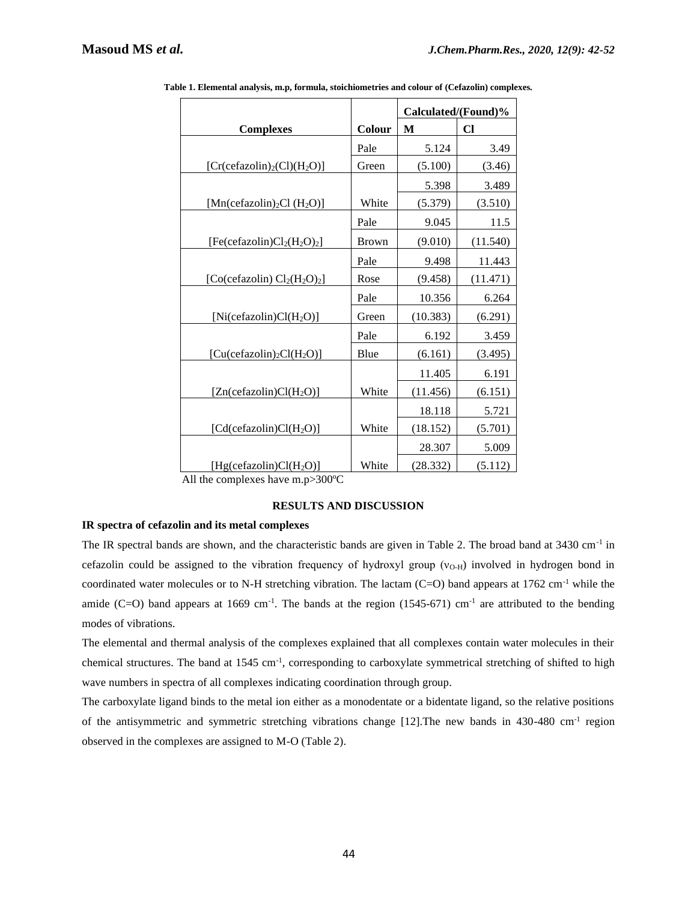|                                                    |              | Calculated/(Found)% |              |  |  |
|----------------------------------------------------|--------------|---------------------|--------------|--|--|
| <b>Complexes</b>                                   | Colour       | M                   | $\mathbf{C}$ |  |  |
|                                                    | Pale         | 5.124               | 3.49         |  |  |
| $[Cr(cefazolin)2(Cl)(H2O)]$                        | Green        | (5.100)             | (3.46)       |  |  |
|                                                    |              | 5.398               | 3.489        |  |  |
| [Mn(cefazolin) <sub>2</sub> Cl (H <sub>2</sub> O)] | White        | (5.379)             | (3.510)      |  |  |
|                                                    | Pale         | 9.045               | 11.5         |  |  |
| $[Fe(cefazolin)Cl2(H2O)2]$                         | <b>Brown</b> | (9.010)             | (11.540)     |  |  |
|                                                    | Pale         | 9.498               | 11.443       |  |  |
| [Co(cefazolin) $Cl_2(H_2O)_2$ ]                    | Rose         | (9.458)             | (11.471)     |  |  |
|                                                    | Pale         | 10.356              | 6.264        |  |  |
| [Ni(cefazolin) $Cl(H_2O)$ ]                        | Green        | (10.383)            | (6.291)      |  |  |
|                                                    | Pale         | 6.192               | 3.459        |  |  |
| $[Cu(cefazolin)2Cl(H2O)]$                          | Blue         | (6.161)             | (3.495)      |  |  |
|                                                    |              | 11.405              | 6.191        |  |  |
| [Zn(cefazolin)Cl(H <sub>2</sub> O)]                | White        | (11.456)            | (6.151)      |  |  |
|                                                    |              | 18.118              | 5.721        |  |  |
| [Cd(cefazolin)Cl(H <sub>2</sub> O)]                | White        | (18.152)            | (5.701)      |  |  |
|                                                    |              | 28.307              | 5.009        |  |  |
| [Hg(cefazolin) $Cl(H_2O)$ ]                        | White        | (28.332)            | (5.112)      |  |  |

**Table 1. Elemental analysis, m.p, formula, stoichiometries and colour of (Cefazolin) complexes.**

All the complexes have m.p>300ºC

## **RESULTS AND DISCUSSION**

# **IR spectra of cefazolin and its metal complexes**

The IR spectral bands are shown, and the characteristic bands are given in Table 2. The broad band at 3430 cm<sup>-1</sup> in cefazolin could be assigned to the vibration frequency of hydroxyl group  $(v_{O-H})$  involved in hydrogen bond in coordinated water molecules or to N-H stretching vibration. The lactam (C=O) band appears at 1762 cm<sup>-1</sup> while the amide (C=O) band appears at 1669 cm<sup>-1</sup>. The bands at the region (1545-671) cm<sup>-1</sup> are attributed to the bending modes of vibrations.

The elemental and thermal analysis of the complexes explained that all complexes contain water molecules in their chemical structures. The band at 1545 cm<sup>-1</sup>, corresponding to carboxylate symmetrical stretching of shifted to high wave numbers in spectra of all complexes indicating coordination through group.

The carboxylate ligand binds to the metal ion either as a monodentate or a bidentate ligand, so the relative positions of the antisymmetric and symmetric stretching vibrations change [12]. The new bands in 430-480 cm<sup>-1</sup> region observed in the complexes are assigned to M-O (Table 2).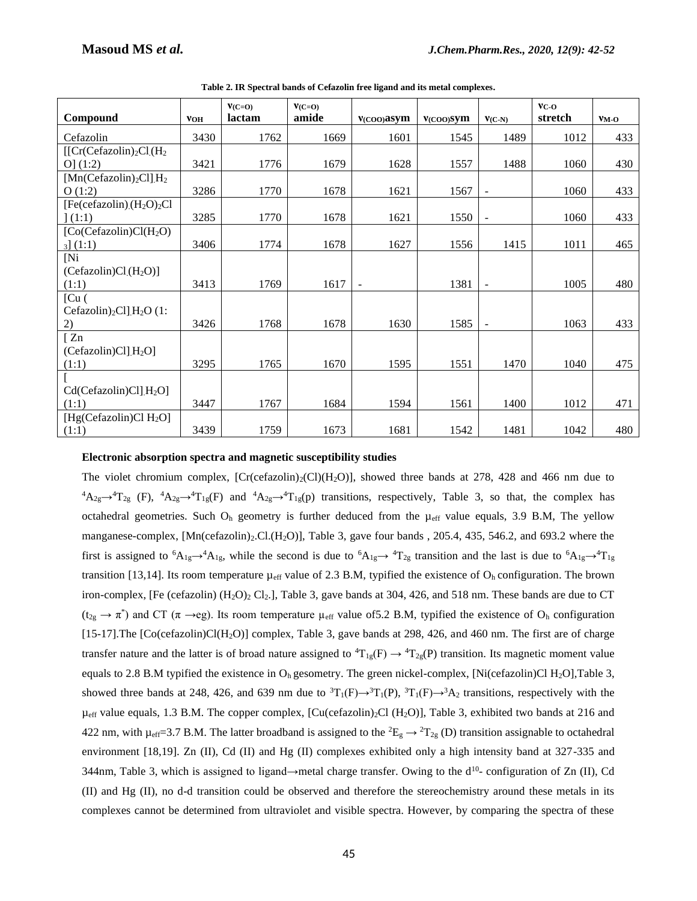|                                                            |            | $V(C=0)$ | $V(C=O)$ |                |              |                          | $VC-O$  |               |
|------------------------------------------------------------|------------|----------|----------|----------------|--------------|--------------------------|---------|---------------|
| Compound                                                   | <b>VOH</b> | lactam   | amide    | $V(COO)$ asym  | $V(COO)$ SVM | $V(C-N)$                 | stretch | $V_{\rm M-O}$ |
| Cefazolin                                                  | 3430       | 1762     | 1669     | 1601           | 1545         | 1489                     | 1012    | 433           |
| $[ [Cr(Cefazolin)2Cl](H2]$                                 |            |          |          |                |              |                          |         |               |
| O(1:2)                                                     | 3421       | 1776     | 1679     | 1628           | 1557         | 1488                     | 1060    | 430           |
| $[Mn(Cefazolin)2Cl]$ <sub>.</sub> $H2$                     |            |          |          |                |              |                          |         |               |
| O(1:2)                                                     | 3286       | 1770     | 1678     | 1621           | 1567         | $\overline{\phantom{a}}$ | 1060    | 433           |
| $[Fe(cefazolin)_{1}(H_{2}O)_{2}Cl]$                        |            |          |          |                |              |                          |         |               |
| (1:1)                                                      | 3285       | 1770     | 1678     | 1621           | 1550         | $\overline{\phantom{a}}$ | 1060    | 433           |
| [Co(Cefazolin)Cl(H <sub>2</sub> O)]                        |            |          |          |                |              |                          |         |               |
| $_3$ ] $(1:1)$                                             | 3406       | 1774     | 1678     | 1627           | 1556         | 1415                     | 1011    | 465           |
| [N <sub>i</sub> ]                                          |            |          |          |                |              |                          |         |               |
| $(Cefazolin)Cl1(H2O)$                                      |            |          |          |                |              |                          |         |               |
| (1:1)                                                      | 3413       | 1769     | 1617     | $\blacksquare$ | 1381         | L,                       | 1005    | 480           |
| [Cu(                                                       |            |          |          |                |              |                          |         |               |
| Cefazolin) <sub>2</sub> Cl] <sub>.H<sub>2</sub>O (1:</sub> |            |          |          |                |              |                          |         |               |
| 2)                                                         | 3426       | 1768     | 1678     | 1630           | 1585         | $\overline{a}$           | 1063    | 433           |
| $\sqrt{2n}$                                                |            |          |          |                |              |                          |         |               |
| $(Cefazolin)Cl$ $H_2O$                                     |            |          |          |                |              |                          |         |               |
| (1:1)                                                      | 3295       | 1765     | 1670     | 1595           | 1551         | 1470                     | 1040    | 475           |
|                                                            |            |          |          |                |              |                          |         |               |
| Cd(Cefazolin)Cl[H <sub>2</sub> O]                          |            |          |          |                |              |                          |         |               |
| (1:1)                                                      | 3447       | 1767     | 1684     | 1594           | 1561         | 1400                     | 1012    | 471           |
| [Hg(Cefazolin)Cl $H_2O$ ]                                  |            |          |          |                |              |                          |         |               |
| (1:1)                                                      | 3439       | 1759     | 1673     | 1681           | 1542         | 1481                     | 1042    | 480           |

**Table 2. IR Spectral bands of Cefazolin free ligand and its metal complexes.**

### **Electronic absorption spectra and magnetic susceptibility studies**

The violet chromium complex,  $[Cr(cefazolin)_2(C)](H_2O)]$ , showed three bands at 278, 428 and 466 nm due to  ${}^4A_{2g} \rightarrow {}^4T_{2g}$  (F),  ${}^4A_{2g} \rightarrow {}^4T_{1g}$ (F) and  ${}^4A_{2g} \rightarrow {}^4T_{1g}$ (p) transitions, respectively, Table 3, so that, the complex has octahedral geometries. Such  $O<sub>h</sub>$  geometry is further deduced from the  $\mu<sub>eff</sub>$  value equals, 3.9 B.M, The yellow manganese-complex, [Mn(cefazolin)<sub>2</sub>.Cl.(H<sub>2</sub>O)], Table 3, gave four bands , 205.4, 435, 546.2, and 693.2 where the first is assigned to  ${}^6A_{1g} \rightarrow {}^4A_{1g}$ , while the second is due to  ${}^6A_{1g} \rightarrow {}^4T_{2g}$  transition and the last is due to  ${}^6A_{1g} \rightarrow {}^4T_{1g}$ transition [13,14]. Its room temperature  $\mu_{eff}$  value of 2.3 B.M, typified the existence of  $O<sub>h</sub>$  configuration. The brown iron-complex, [Fe (cefazolin)  $(H_2O)_2$  Cl<sub>2</sub>.], Table 3, gave bands at 304, 426, and 518 nm. These bands are due to CT  $(t_{2g} \to \pi^*)$  and CT ( $\pi \to eg$ ). Its room temperature  $\mu_{eff}$  value of 5.2 B.M, typified the existence of O<sub>h</sub> configuration [15-17].The [Co(cefazolin)Cl(H2O)] complex, Table 3, gave bands at 298, 426, and 460 nm. The first are of charge transfer nature and the latter is of broad nature assigned to  ${}^{4}T_{1g}(F) \rightarrow {}^{4}T_{2g}(P)$  transition. Its magnetic moment value equals to 2.8 B.M typified the existence in  $O_h$  gesometry. The green nickel-complex, [Ni(cefazolin)Cl H<sub>2</sub>O],Table 3, showed three bands at 248, 426, and 639 nm due to  ${}^{3}T_{1}(F) \rightarrow {}^{3}T_{1}(F) \rightarrow {}^{3}A_{2}$  transitions, respectively with the  $\mu_{\text{eff}}$  value equals, 1.3 B.M. The copper complex, [Cu(cefazolin)<sub>2</sub>Cl (H<sub>2</sub>O)], Table 3, exhibited two bands at 216 and 422 nm, with  $\mu_{eff}$ =3.7 B.M. The latter broadband is assigned to the  ${}^2E_g \rightarrow {}^2T_{2g}$  (D) transition assignable to octahedral environment [18,19]. Zn (II), Cd (II) and Hg (II) complexes exhibited only a high intensity band at 327-335 and 344nm, Table 3, which is assigned to ligand $\rightarrow$ metal charge transfer. Owing to the  $d^{10}$ - configuration of Zn (II), Cd (II) and Hg (II), no d-d transition could be observed and therefore the stereochemistry around these metals in its complexes cannot be determined from ultraviolet and visible spectra. However, by comparing the spectra of these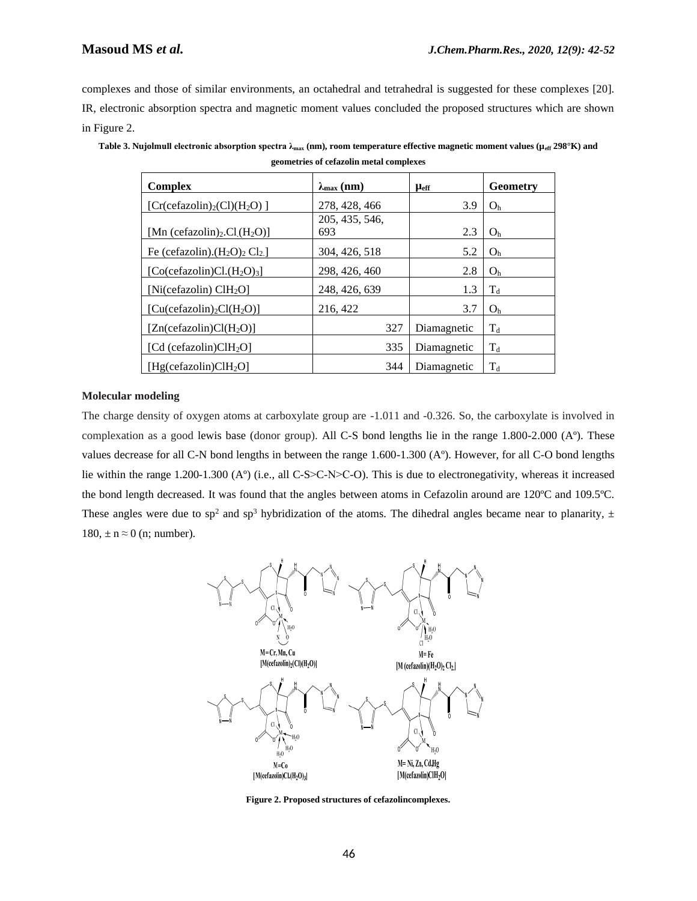complexes and those of similar environments, an octahedral and tetrahedral is suggested for these complexes [20]. IR, electronic absorption spectra and magnetic moment values concluded the proposed structures which are shown in Figure 2.

| Complex                                                           | $\lambda_{\max}$ (nm) | <b>L</b> eff | Geometry       |
|-------------------------------------------------------------------|-----------------------|--------------|----------------|
| $[Cr(cefazolin)2(Cl)(H2O)]$                                       | 278, 428, 466         | 3.9          | O <sub>h</sub> |
|                                                                   | 205, 435, 546,        |              |                |
| [Mn (cefazolin) <sub>2</sub> .Cl <sub>.</sub> (H <sub>2</sub> O)] | 693                   | 2.3          | O <sub>h</sub> |
| Fe (cefazolin). $(H_2O)_2Cl_2$ ]                                  | 304, 426, 518         | 5.2          | O <sub>h</sub> |
| $[Co(cefazolin)Cl.(H2O)3]$                                        | 298, 426, 460         | 2.8          | O <sub>h</sub> |
| [Ni(cefazolin) $CH2O$ ]                                           | 248, 426, 639         | 1.3          | $\rm T_d$      |
| $[Cu(cefazolin)2Cl(H2O)]$                                         | 216, 422              | 3.7          | O <sub>h</sub> |
| $[Zn(\text{cefazolin})Cl(H_2O)]$                                  | 327                   | Diamagnetic  | $T_d$          |
| [Cd (cefazolin) $CH2O$ ]                                          | 335                   | Diamagnetic  | $T_{d}$        |
| [Hg(cefazolin)CH <sub>2</sub> O]                                  | 344                   | Diamagnetic  | $\rm T_d$      |

**Table 3. Nujolmull electronic absorption spectra λmax (nm), room temperature effective magnetic moment values (µeff 298°K) and geometries of cefazolin metal complexes**

### **Molecular modeling**

The charge density of oxygen atoms at carboxylate group are -1.011 and -0.326. So, the carboxylate is involved in complexation as a good lewis base (donor group). All C-S bond lengths lie in the range 1.800-2.000 (Aº). These values decrease for all C-N bond lengths in between the range 1.600-1.300 (Aº). However, for all C-O bond lengths lie within the range 1.200-1.300 (A°) (i.e., all C-S>C-N>C-O). This is due to electronegativity, whereas it increased the bond length decreased. It was found that the angles between atoms in Cefazolin around are 120ºC and 109.5ºC. These angles were due to sp<sup>2</sup> and sp<sup>3</sup> hybridization of the atoms. The dihedral angles became near to planarity,  $\pm$ 180,  $\pm$  n  $\approx$  0 (n; number).



**Figure 2. Proposed structures of cefazolincomplexes.**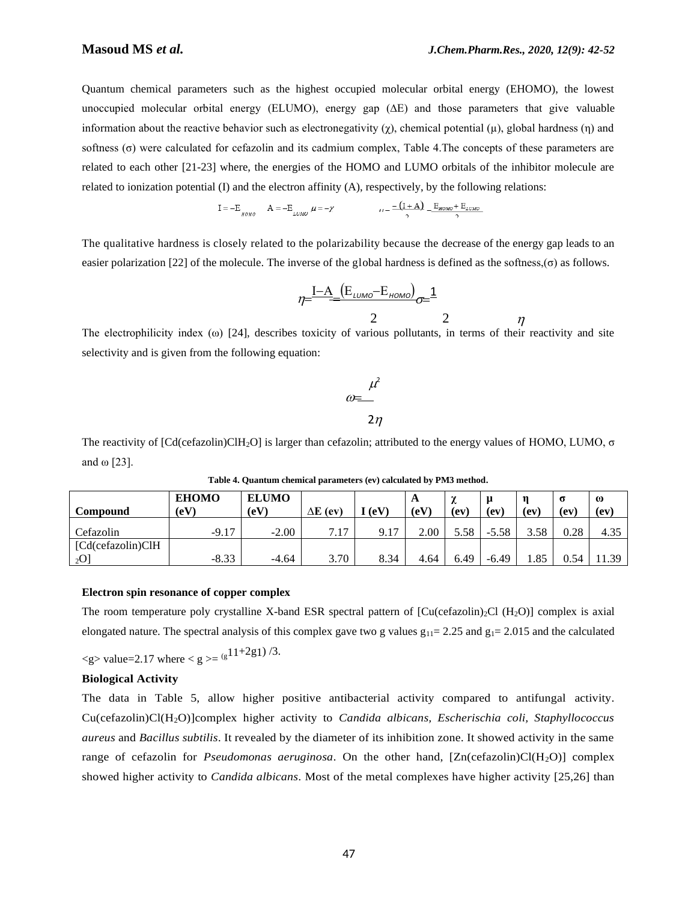Quantum chemical parameters such as the highest occupied molecular orbital energy (EHOMO), the lowest unoccupied molecular orbital energy (ELUMO), energy gap (∆E) and those parameters that give valuable information about the reactive behavior such as electronegativity (χ), chemical potential (μ), global hardness (η) and softness (σ) were calculated for cefazolin and its cadmium complex, Table 4.The concepts of these parameters are related to each other [21-23] where, the energies of the HOMO and LUMO orbitals of the inhibitor molecule are related to ionization potential (I) and the electron affinity (A), respectively, by the following relations:

$$
I = -E_{\text{BOMO}} \qquad A = -E_{\text{LUMO}} \mu = -\chi \qquad \qquad \mu = -\frac{(I + A)}{2} - \frac{E_{\text{HOMO}} + E_{\text{LUMO}}}{2}
$$

The qualitative hardness is closely related to the polarizability because the decrease of the energy gap leads to an easier polarization [22] of the molecule. The inverse of the global hardness is defined as the softness, $(\sigma)$  as follows.

$$
\eta = \frac{I - A}{I} \frac{(E_{LUMO} - E_{HOMO})}{2} \sigma = \frac{1}{2}
$$

2 2  $\eta$ 

The electrophilicity index  $(\omega)$  [24], describes toxicity of various pollutants, in terms of their reactivity and site selectivity and is given from the following equation:

$$
\begin{array}{c}\n\mu^2 \\
\hline\n2\n\end{array}
$$

The reactivity of [Cd(cefazolin)ClH2O] is larger than cefazolin; attributed to the energy values of HOMO, LUMO, σ and ω [23].

| <b>Compound</b>   | <b>EHOMO</b><br>(eV) | <b>ELUMO</b><br>ΔE<br>$\rm (eV)$<br>(ev) |          | [ (eV) | A<br>(eV) | $\sim$<br>∼<br>(ev) | u<br>(ev | $\left(\mathbf{ev}\right)$ | $\sigma$<br>(ev | $\omega$<br>(ev |
|-------------------|----------------------|------------------------------------------|----------|--------|-----------|---------------------|----------|----------------------------|-----------------|-----------------|
| Cefazolin         | $-9.17$              | $-2.00$                                  | 717<br>. | 9.17   | 2.00      | 5.58                | $-5.58$  | 3.58                       | 0.28            | 4.35            |
| [Cd(cefazolin)ClH |                      |                                          |          |        |           |                     |          |                            |                 |                 |
| 2O                | $-8.33$              | $-4.64$                                  | 3.70     | 8.34   | 4.64      | 6.49                | $-6.49$  | 1.85                       | 0.54            | .1.39           |

**Table 4. Quantum chemical parameters (ev) calculated by PM3 method.**

### **Electron spin resonance of copper complex**

The room temperature poly crystalline X-band ESR spectral pattern of  $\text{[Cu(cefazolin)}_2\text{Cl (H}_2\text{O)}\text{]}$  complex is axial elongated nature. The spectral analysis of this complex gave two g values  $g_{11}= 2.25$  and  $g_{1}= 2.015$  and the calculated

\n
$$
\langle g \rangle \text{ value} = 2.17 \text{ where } g \rangle = \frac{g}{1 + 2g} \frac{1}{3}.
$$
\n

### **Biological Activity**

The data in Table 5, allow higher positive antibacterial activity compared to antifungal activity. Cu(cefazolin)Cl(H2O)]complex higher activity to *Candida albicans, Escherischia coli, Staphyllococcus aureus* and *Bacillus subtilis*. It revealed by the diameter of its inhibition zone. It showed activity in the same range of cefazolin for *Pseudomonas aeruginosa*. On the other hand, [Zn(cefazolin)Cl(H<sub>2</sub>O)] complex showed higher activity to *Candida albicans*. Most of the metal complexes have higher activity [25,26] than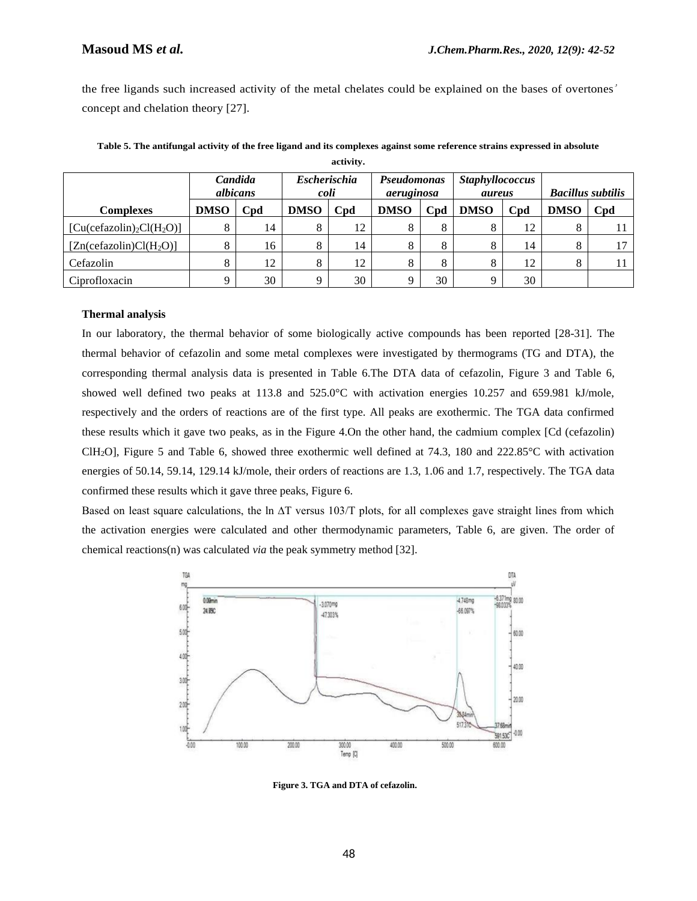the free ligands such increased activity of the metal chelates could be explained on the bases of overtones' concept and chelation theory [27].

|                                  | Candida<br>albicans<br>Cpd<br><b>DMSO</b> |    | <b>Escherischia</b><br>coli |    | Pseudomonas<br>aeruginosa |     | <b>Staphyllococcus</b><br>aureus |                 | <b>Bacillus subtilis</b> |     |
|----------------------------------|-------------------------------------------|----|-----------------------------|----|---------------------------|-----|----------------------------------|-----------------|--------------------------|-----|
| <b>Complexes</b>                 |                                           |    | Cpd<br><b>DMSO</b>          |    | <b>DMSO</b>               | Cpd | <b>DMSO</b>                      | C <sub>nd</sub> | <b>DMSO</b>              | Cpd |
| $[Cu(cefazolin)2Cl(H2O)]$        |                                           | 14 |                             | 12 |                           | 8   |                                  | 12              |                          |     |
| $[Zn(\text{cefazolin})Cl(H_2O)]$ |                                           | 16 |                             | 14 |                           | 8   | Ω                                | 14              | δ                        |     |
| Cefazolin                        |                                           | 12 |                             | 12 |                           | 8   |                                  | 12              |                          |     |
| Ciprofloxacin                    |                                           | 30 |                             | 30 |                           | 30  |                                  | 30              |                          |     |

**Table 5. The antifungal activity of the free ligand and its complexes against some reference strains expressed in absolute activity.**

### **Thermal analysis**

In our laboratory, the thermal behavior of some biologically active compounds has been reported [28-31]. The thermal behavior of cefazolin and some metal complexes were investigated by thermograms (TG and DTA), the corresponding thermal analysis data is presented in Table 6.The DTA data of cefazolin, Figure 3 and Table 6, showed well defined two peaks at 113.8 and 525.0°C with activation energies 10.257 and 659.981 kJ/mole, respectively and the orders of reactions are of the first type. All peaks are exothermic. The TGA data confirmed these results which it gave two peaks, as in the Figure 4.On the other hand, the cadmium complex [Cd (cefazolin) ClH2O], Figure 5 and Table 6, showed three exothermic well defined at 74.3, 180 and 222.85°C with activation energies of 50.14, 59.14, 129.14 kJ/mole, their orders of reactions are 1.3, 1.06 and 1.7, respectively. The TGA data confirmed these results which it gave three peaks, Figure 6.

Based on least square calculations, the ln ∆T versus 103/T plots, for all complexes gave straight lines from which the activation energies were calculated and other thermodynamic parameters, Table 6, are given. The order of chemical reactions(n) was calculated *via* the peak symmetry method [32].



**Figure 3. TGA and DTA of cefazolin.**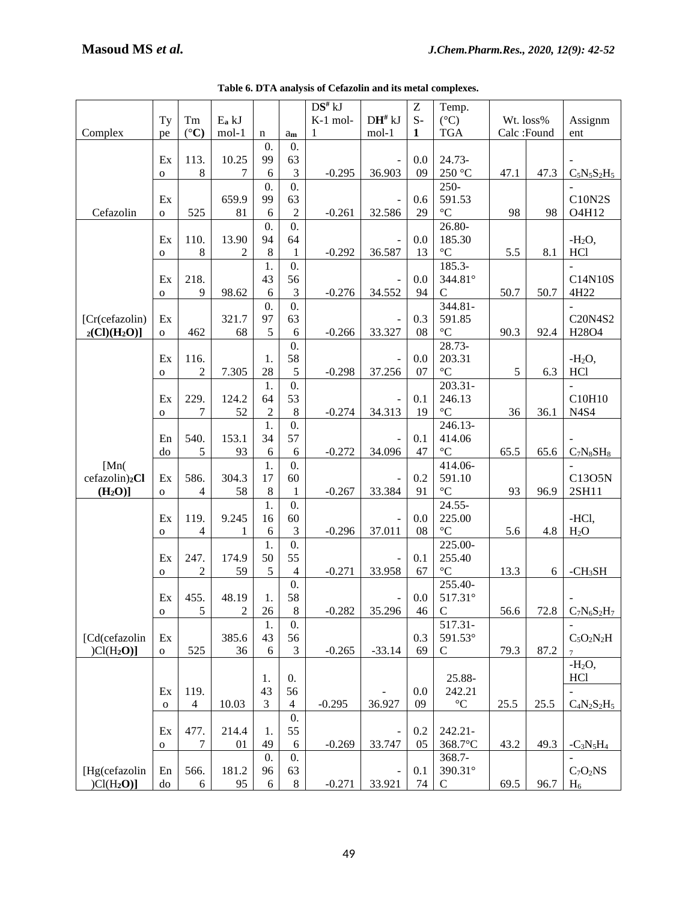|                              |              |                 |                |                  |                             | DS# kJ   |                          | $\boldsymbol{Z}$ | Temp.                 |           |            |                          |
|------------------------------|--------------|-----------------|----------------|------------------|-----------------------------|----------|--------------------------|------------------|-----------------------|-----------|------------|--------------------------|
|                              | Ty           | $\rm{Tm}$       | $E_a$ kJ       |                  |                             | K-1 mol- | $DH^{\#}$ kJ             | $S-$             | $({}^{\circ}C)$       | Wt. loss% |            | Assignm                  |
| Complex                      |              | $({}^{\circ}C)$ | $mol-1$        |                  |                             | 1        | $mol-1$                  | 1                | $_{\rm TGA}$          |           | Calc:Found | ent                      |
|                              | pe           |                 |                | n                | am                          |          |                          |                  |                       |           |            |                          |
|                              |              |                 |                | 0.               | 0.                          |          |                          |                  |                       |           |            |                          |
|                              | Ex           | 113.            | 10.25          | 99               | 63                          |          |                          | 0.0              | 24.73-                |           |            |                          |
|                              | $\mathbf 0$  | $\,8\,$         | 7              | 6                | $\mathfrak 3$               | $-0.295$ | 36.903                   | 09               | 250 °C                | 47.1      | 47.3       | $C_5N_5S_2H_5$           |
|                              |              |                 |                | $\mathbf{0}$ .   | $\overline{0}$ .            |          |                          |                  | 250-                  |           |            |                          |
|                              | Ex           |                 | 659.9          | 99               | 63                          |          |                          | 0.6              | 591.53                |           |            | C10N2S                   |
| Cefazolin                    | $\mathbf 0$  | 525             | 81             | 6                | $\sqrt{2}$                  | $-0.261$ | 32.586                   | 29               | $^{\circ}C$           | 98        | 98         | O4H12                    |
|                              |              |                 |                | $\overline{0}$ . | 0.                          |          |                          |                  | 26.80-                |           |            |                          |
|                              | Ex           | 110.            | 13.90          | 94               | 64                          |          |                          | 0.0              | 185.30                |           |            | $-H2O$ ,                 |
|                              | $\mathbf 0$  | $\,8\,$         | $\overline{2}$ | $\,8\,$          | $\mathbf{1}$                | $-0.292$ | 36.587                   | 13               | $^{\circ}{\rm C}$     | 5.5       | 8.1        | <b>HCl</b>               |
|                              |              |                 |                | 1.               | 0.                          |          |                          |                  | $185.3-$              |           |            |                          |
|                              | Ex           | 218.            |                | 43               | 56                          |          |                          | 0.0              | 344.81°               |           |            | C14N10S                  |
|                              |              | $\overline{9}$  |                | 6                | $\mathfrak{Z}$              |          | 34.552                   | 94               | ${\bf C}$             |           |            | 4H22                     |
|                              | $\mathbf{o}$ |                 | 98.62          |                  |                             | $-0.276$ |                          |                  |                       | 50.7      | 50.7       |                          |
|                              |              |                 |                | $\mathbf{0}$ .   | $\overline{0}$ .            |          |                          |                  | 344.81-               |           |            |                          |
| [Cr(cefazolin)               | Ex           |                 | 321.7          | 97               | 63                          |          |                          | 0.3              | 591.85                |           |            | C20N4S2                  |
| $_2$ (Cl)(H <sub>2</sub> O)] | $\mathbf{O}$ | 462             | 68             | 5                | $\sqrt{6}$                  | $-0.266$ | 33.327                   | 08               | $\rm ^{\circ}C$       | 90.3      | 92.4       | H28O4                    |
|                              |              |                 |                |                  | 0.                          |          |                          |                  | 28.73-                |           |            |                          |
|                              | Ex           | 116.            |                | 1.               | 58                          |          |                          | 0.0              | 203.31                |           |            | $-H2O$ ,                 |
|                              | $\mathbf O$  | $\overline{c}$  | 7.305          | 28               | $\sqrt{5}$                  | $-0.298$ | 37.256                   | 07               | $^{\circ}C$           | 5         | 6.3        | <b>HCl</b>               |
|                              |              |                 |                | 1.               | $\overline{0}$ .            |          |                          |                  | 203.31-               |           |            | $\overline{\phantom{a}}$ |
|                              | Ex           | 229.            | 124.2          | 64               | 53                          |          |                          | 0.1              | 246.13                |           |            | C10H10                   |
|                              | $\mathbf O$  | 7               | 52             | $\overline{c}$   | $\,8\,$                     | $-0.274$ | 34.313                   | 19               | $^{\circ}{\rm C}$     | 36        | 36.1       | N4S4                     |
|                              |              |                 |                | 1.               | $\overline{0}$ .            |          |                          |                  | 246.13-               |           |            |                          |
|                              |              |                 |                | 34               | 57                          |          |                          |                  |                       |           |            |                          |
|                              | En           | 540.            | 153.1          |                  |                             |          |                          | 0.1              | 414.06                |           |            |                          |
|                              | do           | 5               | 93             | 6                | 6                           | $-0.272$ | 34.096                   | 47               | $\rm ^{\circ}C$       | 65.5      | 65.6       | $C_7N_8SH_8$             |
| [Mn(                         |              |                 |                | 1.               | 0.                          |          |                          |                  | 414.06-               |           |            |                          |
| cefazolin) <sub>2</sub> Cl   | Ex           | 586.            | 304.3          | 17               | 60                          |          |                          | 0.2              | 591.10                |           |            | C13O5N                   |
| (H <sub>2</sub> O)           | $\mathbf{o}$ | $\overline{4}$  | 58             | $\,8\,$          | $\mathbf{1}$                | $-0.267$ | 33.384                   | 91               | $^{\circ}{\rm C}$     | 93        | 96.9       | 2SH11                    |
|                              |              |                 |                | 1.               | 0.                          |          |                          |                  | $24.55 -$             |           |            |                          |
|                              | Ex           | 119.            | 9.245          | 16               | 60                          |          |                          | 0.0              | 225.00                |           |            | -HCl,                    |
|                              | $\mathbf{o}$ | $\overline{4}$  | 1              | $\sqrt{6}$       | $\ensuremath{\mathfrak{Z}}$ | $-0.296$ | 37.011                   | 08               | $^{\circ}{\rm C}$     | 5.6       | 4.8        | H <sub>2</sub> O         |
|                              |              |                 |                | 1.               | $\overline{0}$ .            |          |                          |                  | $\overline{225.00}$ - |           |            |                          |
|                              | Ex           | 247.            | 174.9          | 50               | 55                          |          | $\blacksquare$           | 0.1              | 255.40                |           |            |                          |
|                              | $\mathbf O$  | 2               | 59             | 5                | $\overline{4}$              | $-0.271$ | 33.958                   | 67               | $\rm ^{\circ}C$       | 13.3      | 6          | $-CH3SH$                 |
|                              |              |                 |                |                  | 0.                          |          |                          |                  | 255.40-               |           |            |                          |
|                              |              |                 |                |                  |                             |          |                          |                  |                       |           |            |                          |
|                              | Ex           | 455.            | 48.19          | 1.               | 58                          |          | $\overline{\phantom{a}}$ | 0.0              | 517.31°               |           |            |                          |
|                              | $\mathbf 0$  | 5               | 2              | 26               | 8                           | $-0.282$ | 35.296                   | 46               | C                     | 56.6      | 72.8       | $C_7N_6S_2H_7$           |
|                              |              |                 |                | 1.               | $\overline{0}$ .            |          |                          |                  | 517.31-               |           |            |                          |
| [Cd(cefazolin                | Ex           |                 | 385.6          | 43               | 56                          |          |                          | 0.3              | 591.53°               |           |            | $C_5O_2N_2H$             |
| $ Cl(H_2O)]$                 | $\mathbf 0$  | 525             | 36             | 6                | $\mathfrak{Z}$              | $-0.265$ | $-33.14$                 | 69               | $\mathsf C$           | 79.3      | 87.2       | $\overline{7}$           |
|                              |              |                 |                |                  |                             |          |                          |                  |                       |           |            | $-H2O$ ,                 |
|                              |              |                 |                | 1.               | 0.                          |          |                          |                  | 25.88-                |           |            | HCl                      |
|                              | Ex           | 119.            |                | 43               | 56                          |          |                          | 0.0              | 242.21                |           |            |                          |
|                              | $\mathbf O$  | $\overline{4}$  | 10.03          | 3                | $\overline{4}$              | $-0.295$ | 36.927                   | 09               | $^{\circ}{\rm C}$     | 25.5      | 25.5       | $C_4N_2S_2H_5$           |
|                              |              |                 |                |                  | 0.                          |          |                          |                  |                       |           |            |                          |
|                              | Ex           | 477.            | 214.4          | 1.               | 55                          |          |                          | 0.2              | 242.21-               |           |            |                          |
|                              | 0            | 7               | 01             | 49               | $\sqrt{6}$                  | $-0.269$ | 33.747                   | 05               | 368.7°C               | 43.2      | 49.3       | $-C_3N_5H_4$             |
|                              |              |                 |                | $\overline{0}$ . |                             |          |                          |                  |                       |           |            |                          |
|                              |              |                 |                |                  | 0.                          |          |                          |                  | 368.7-                |           |            |                          |
| [Hg(cefazolin                | En           | 566.            | 181.2          | 96               | 63                          |          |                          | 0.1              | 390.31°               |           |            | $C_7O_2NS$               |
| $ Cl(H_2O)]$                 | do           | $6\,$           | 95             | 6                | $8\,$                       | $-0.271$ | 33.921                   | 74               | $\mathsf{C}$          | 69.5      | 96.7       | $H_6$                    |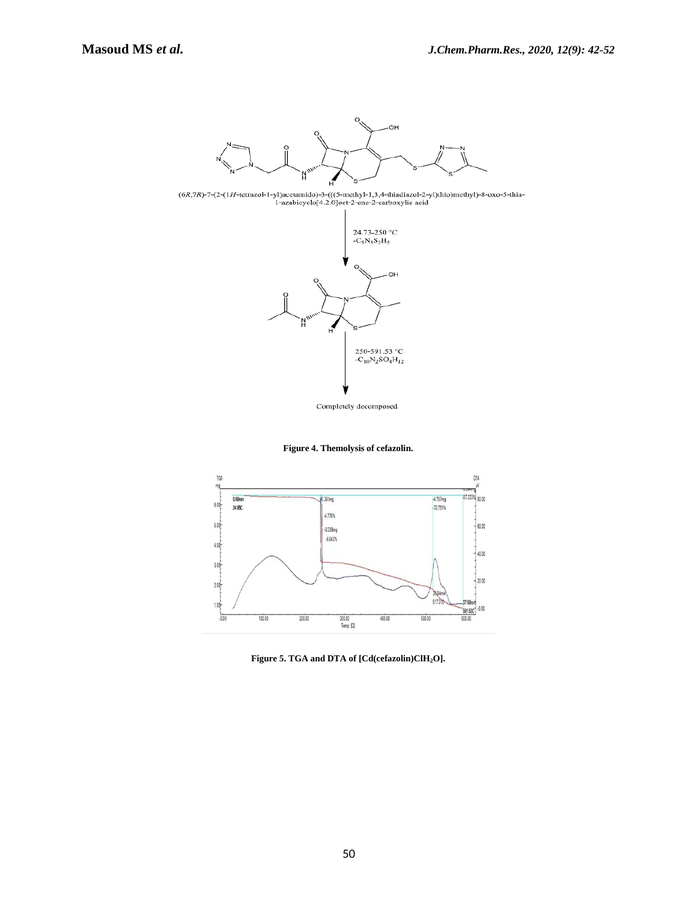

 $(6R,7R)-7-(2-(1H-\text{tetrazol}-1-yl)\text{acetamido}-3-(((5-\text{methyl}-1,3,4-\text{thiadiazol}-2-yl)\text{thio})\text{methyl})-8-\text{oxo}-5-\text{thia}-1-\text{azabicyclo}$  [4.2.0] oct-2-ene-2-carboxylic acid



**Figure 4. Themolysis of cefazolin.**



**Figure 5. TGA and DTA of [Cd(cefazolin)ClH2O].**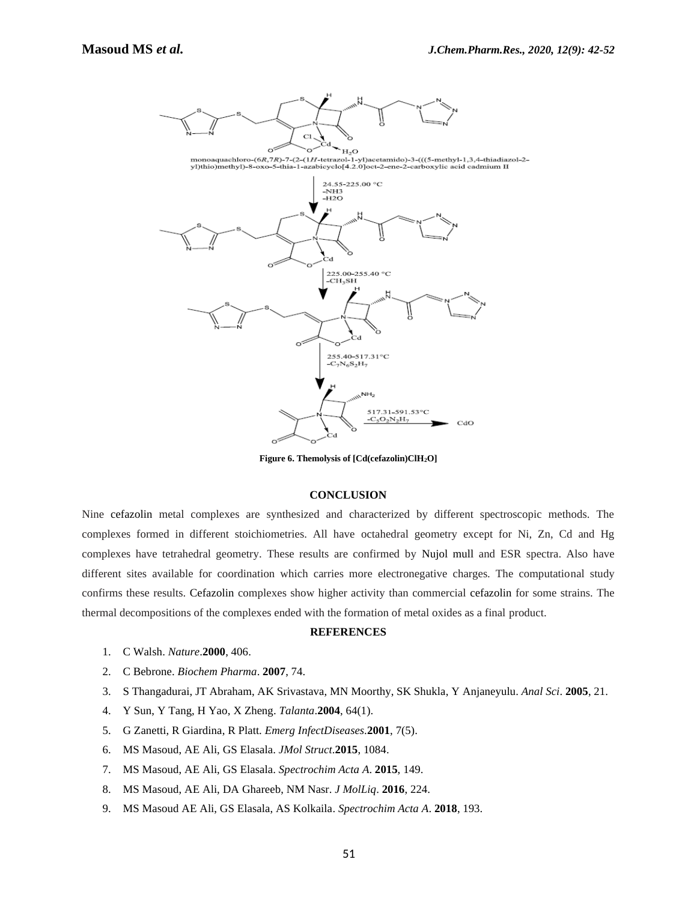

**Figure 6. Themolysis of [Cd(cefazolin)ClH2O]**

## **CONCLUSION**

Nine cefazolin metal complexes are synthesized and characterized by different spectroscopic methods. The complexes formed in different stoichiometries. All have octahedral geometry except for Ni, Zn, Cd and Hg complexes have tetrahedral geometry. These results are confirmed by Nujol mull and ESR spectra. Also have different sites available for coordination which carries more electronegative charges. The computational study confirms these results. Cefazolin complexes show higher activity than commercial cefazolin for some strains. The thermal decompositions of the complexes ended with the formation of metal oxides as a final product.

### **REFERENCES**

- 1. C Walsh. *Nature*.**2000**, 406.
- 2. C Bebrone. *Biochem Pharma*. **2007**, 74.
- 3. S Thangadurai, JT Abraham, AK Srivastava, MN Moorthy, SK Shukla, Y Anjaneyulu. *Anal Sci*. **2005**, 21.
- 4. Y Sun, Y Tang, H Yao, X Zheng. *Talanta*.**2004**, 64(1).
- 5. G Zanetti, R Giardina, R Platt. *Emerg InfectDiseases*.**2001**, 7(5).
- 6. MS Masoud, AE Ali, GS Elasala. *JMol Struct*.**2015**, 1084.
- 7. MS Masoud, AE Ali, GS Elasala. *Spectrochim Acta A*. **2015**, 149.
- 8. MS Masoud, AE Ali, DA Ghareeb, NM Nasr. *J MolLiq*. **2016**, 224.
- 9. MS Masoud AE Ali, GS Elasala, AS Kolkaila. *Spectrochim Acta A*. **2018**, 193.